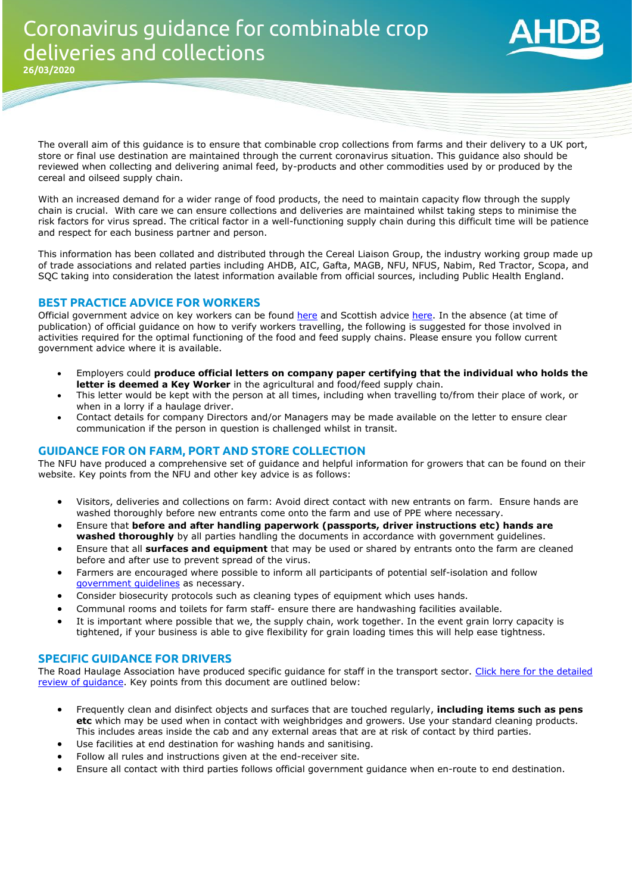

The overall aim of this guidance is to ensure that combinable crop collections from farms and their delivery to a UK port, store or final use destination are maintained through the current coronavirus situation. This guidance also should be reviewed when collecting and delivering animal feed, by-products and other commodities used by or produced by the cereal and oilseed supply chain.

With an increased demand for a wider range of food products, the need to maintain capacity flow through the supply chain is crucial. With care we can ensure collections and deliveries are maintained whilst taking steps to minimise the risk factors for virus spread. The critical factor in a well-functioning supply chain during this difficult time will be patience and respect for each business partner and person.

This information has been collated and distributed through the Cereal Liaison Group, the industry working group made up of trade associations and related parties including AHDB, AIC, Gafta, MAGB, NFU, NFUS, Nabim, Red Tractor, Scopa, and SQC taking into consideration the latest information available from official sources, including Public Health England.

## **BEST PRACTICE ADVICE FOR WORKERS**

**25/03/2020**

Official government advice on key workers can be found [here](https://eur02.safelinks.protection.outlook.com/?url=https%3A%2F%2Fwww.gov.uk%2Fgovernment%2Fpublications%2Fcoronavirus-covid-19-maintaining-educational-provision%2Fguidance-for-schools-colleges-and-local-authorities-on-maintaining-educational-provision&data=02%7C01%7Cdavid.eudall%40ahdb.org.uk%7C0607c770a39a45e61f1708d7d192a276%7Ca12ce54b3d3d434695efff13ca5dd47d%7C1%7C0%7C637208300026936947&sdata=CChXvjCNM7X1TzwKNNN1N4oOzJYXFWkGN4wCsL%2FNy6c%3D&reserved=0) and Scottish advice [here.](https://eur02.safelinks.protection.outlook.com/?url=https%3A%2F%2Fwww.gov.scot%2Fpublications%2Fcoronavirus-covid-19-business-and-social-distancing-guidance%2F&data=02%7C01%7Cdavid.eudall%40ahdb.org.uk%7C0607c770a39a45e61f1708d7d192a276%7Ca12ce54b3d3d434695efff13ca5dd47d%7C1%7C0%7C637208300026946939&sdata=Eao2cPy8%2BhzVnHhdNhzXCgoWXurCb7TdVXjmE4fct0Y%3D&reserved=0) In the absence (at time of publication) of official guidance on how to verify workers travelling, the following is suggested for those involved in activities required for the optimal functioning of the food and feed supply chains. Please ensure you follow current government advice where it is available.

- Employers could **produce official letters on company paper certifying that the individual who holds the letter is deemed a Key Worker** in the agricultural and food/feed supply chain.
- This letter would be kept with the person at all times, including when travelling to/from their place of work, or when in a lorry if a haulage driver.
- Contact details for company Directors and/or Managers may be made available on the letter to ensure clear communication if the person in question is challenged whilst in transit.

## **GUIDANCE FOR ON FARM, PORT AND STORE COLLECTION**

The NFU have produced a comprehensive set of guidance and helpful information for growers that can be found on their website. Key points from the NFU and other key advice is as follows:

- Visitors, deliveries and collections on farm: Avoid direct contact with new entrants on farm. Ensure hands are washed thoroughly before new entrants come onto the farm and use of PPE where necessary.
- Ensure that **before and after handling paperwork (passports, driver instructions etc) hands are washed thoroughly** by all parties handling the documents in accordance with government guidelines.
- Ensure that all **surfaces and equipment** that may be used or shared by entrants onto the farm are cleaned before and after use to prevent spread of the virus.
- Farmers are encouraged where possible to inform all participants of potential self-isolation and follow [government guidelines](https://www.gov.uk/government/publications/covid-19-stay-at-home-guidance) as necessary.
- Consider biosecurity protocols such as cleaning types of equipment which uses hands.
- Communal rooms and toilets for farm staff- ensure there are handwashing facilities available.
- It is important where possible that we, the supply chain, work together. In the event grain lorry capacity is tightened, if your business is able to give flexibility for grain loading times this will help ease tightness.

## **SPECIFIC GUIDANCE FOR DRIVERS**

The Road Haulage Association have produced specific guidance for staff in the transport sector. Click here for the detailed [review of guidance.](https://projectblue.blob.core.windows.net/media/Default/Market%20Intelligence/cereals-oilseeds/supply-demand/COVID-19%20guidance%20for%20staff%20in%20the%20transport%20sector.pdf) Key points from this document are outlined below:

- Frequently clean and disinfect objects and surfaces that are touched regularly, **including items such as pens etc** which may be used when in contact with weighbridges and growers. Use your standard cleaning products. This includes areas inside the cab and any external areas that are at risk of contact by third parties.
- Use facilities at end destination for washing hands and sanitising.
- Follow all rules and instructions given at the end-receiver site.
- Ensure all contact with third parties follows official government guidance when en-route to end destination.